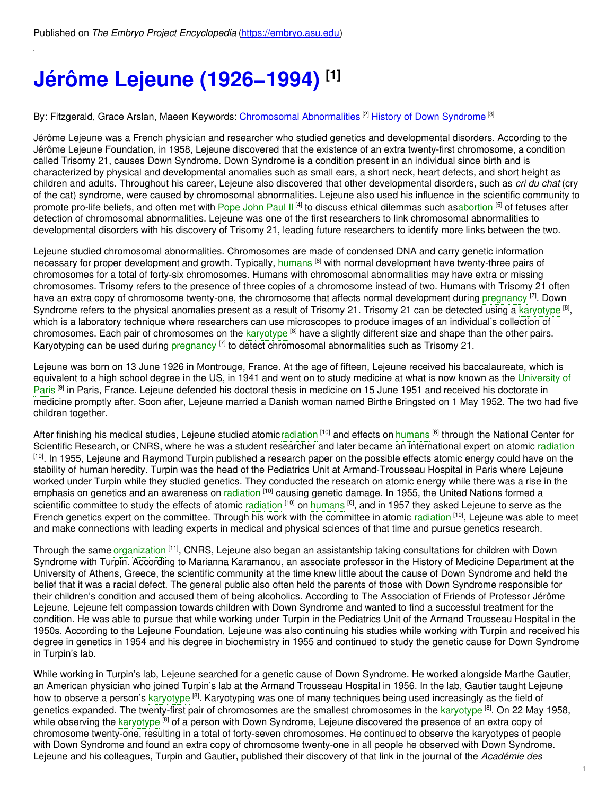# **Jérôme Lejeune [\(1926−1994\)](https://embryo.asu.edu/pages/jerome-lejeune-19261994) [1]**

By: Fitzgerald, Grace Arslan, Maeen Keywords: <u>[Chromosomal](https://embryo.asu.edu/keywords/chromosomal-abnormalities) Abnormalities</u> <sup>[2]</sup> History of Down [Syndrome](https://embryo.asu.edu/keywords/history-down-syndrome) <sup>[3]</sup>

Jérôme Lejeune was a French physician and researcher who studied genetics and developmental disorders. According to the Jérôme Lejeune Foundation, in 1958, Lejeune discovered that the existence of an extra twenty-first chromosome, a condition called Trisomy 21, causes Down Syndrome. Down Syndrome is a condition present in an individual since birth and is characterized by physical and developmental anomalies such as small ears, a short neck, heart defects, and short height as children and adults. Throughout his career, Lejeune also discovered that other developmental disorders, such as *cri du chat* (cry of the cat) syndrome, were caused by chromosomal abnormalities. Lejeune also used his influence in the scientific community to promote pro-life beliefs, and often met with [Pope](https://embryo.asu.edu/search?text=Pope%20John%20Paul%20II) John Paul II<sup>[4]</sup> to discuss ethical dilemmas such as[abortion](https://embryo.asu.edu/search?text=abortion) <sup>[5]</sup> of fetuses after detection of chromosomal abnormalities. Lejeune was one of the first researchers to link chromosomal abnormalities to developmental disorders with his discovery of Trisomy 21, leading future researchers to identify more links between the two.

Lejeune studied chromosomal abnormalities. Chromosomes are made of condensed DNA and carry genetic information necessary for proper development and growth. Typically, [humans](https://embryo.asu.edu/search?text=humans) <sup>[6]</sup> with normal development have twenty-three pairs of chromosomes for a total of forty-six chromosomes. Humans with chromosomal abnormalities may have extra or missing chromosomes. Trisomy refers to the presence of three copies of a chromosome instead of two. Humans with Trisomy 21 often have an extra copy of chromosome twenty-one, the chromosome that affects normal development during [pregnancy](https://embryo.asu.edu/search?text=pregnancy) <sup>[7]</sup>. Down Syndrome refers to the physical anomalies present as a result of Trisomy 21. Trisomy 21 can be detected using a [karyotype](https://embryo.asu.edu/search?text=karyotype) <sup>[8]</sup>, which is a laboratory technique where researchers can use microscopes to produce images of an individual's collection of chromosomes. Each pair of chromosomes on the [karyotype](https://embryo.asu.edu/search?text=karyotype) <sup>[8]</sup> have a slightly different size and shape than the other pairs. Karyotyping can be used during [pregnancy](https://embryo.asu.edu/search?text=pregnancy) <a>[7]</a> to detect chromosomal abnormalities such as Trisomy 21.

Lejeune was born on 13 June 1926 in Montrouge, France. At the age of fifteen, Lejeune received his baccalaureate, which is [equivalent](https://embryo.asu.edu/search?text=University%20of%20Paris) to a high school degree in the US, in 1941 and went on to study medicine at what is now known as the University of Paris<sup>[9]</sup> in Paris, France. Lejeune defended his doctoral thesis in medicine on 15 June 1951 and received his doctorate in medicine promptly after. Soon after, Lejeune married a Danish woman named Birthe Bringsted on 1 May 1952. The two had five children together.

After finishing his medical studies, Lejeune studied atomic[radiation](https://embryo.asu.edu/search?text=radiation) <sup>[10]</sup> and effects on [humans](https://embryo.asu.edu/search?text=humans) <sup>[6]</sup> through the National Center for Scientific Research, or CNRS, where he was a student researcher and later became an international expert on atomic [radiation](https://embryo.asu.edu/search?text=radiation) <sup>[10]</sup>. In 1955, Lejeune and Raymond Turpin published a research paper on the possible effects atomic energy could have on the stability of human heredity. Turpin was the head of the Pediatrics Unit at Armand-Trousseau Hospital in Paris where Lejeune worked under Turpin while they studied genetics. They conducted the research on atomic energy while there was a rise in the emphasis on genetics and an awareness on [radiation](https://embryo.asu.edu/search?text=radiation) <sup>[10]</sup> causing genetic damage. In 1955, the United Nations formed a scientific committee to study the effects of atomic [radiation](https://embryo.asu.edu/search?text=radiation) <sup>[10]</sup> on [humans](https://embryo.asu.edu/search?text=humans) <sup>[6]</sup>, and in 1957 they asked Lejeune to serve as the French genetics expert on the committee. Through his work with the committee in atomic [radiation](https://embryo.asu.edu/search?text=radiation) [10], Lejeune was able to meet and make connections with leading experts in medical and physical sciences of that time and pursue genetics research.

Through the same [organization](https://embryo.asu.edu/search?text=organization) [11], CNRS, Lejeune also began an assistantship taking consultations for children with Down Syndrome with Turpin. According to Marianna Karamanou, an associate professor in the History of Medicine Department at the University of Athens, Greece, the scientific community at the time knew little about the cause of Down Syndrome and held the belief that it was a racial defect. The general public also often held the parents of those with Down Syndrome responsible for their children's condition and accused them of being alcoholics. According to The Association of Friends of Professor Jérôme Lejeune, Lejeune felt compassion towards children with Down Syndrome and wanted to find a successful treatment for the condition. He was able to pursue that while working under Turpin in the Pediatrics Unit of the Armand Trousseau Hospital in the 1950s. According to the Lejeune Foundation, Lejeune was also continuing his studies while working with Turpin and received his degree in genetics in 1954 and his degree in biochemistry in 1955 and continued to study the genetic cause for Down Syndrome in Turpin's lab.

While working in Turpin's lab, Lejeune searched for a genetic cause of Down Syndrome. He worked alongside Marthe Gautier, an American physician who joined Turpin's lab at the Armand Trousseau Hospital in 1956. In the lab, Gautier taught Lejeune how to observe a person's <mark>[karyotype](https://embryo.asu.edu/search?text=karyotype) <sup>[8]</sup>. Karyotyping was one of many techniques being used increasingly as the field of</mark> genetics expanded. The twenty-first pair of chromosomes are the smallest chromosomes in the [karyotype](https://embryo.asu.edu/search?text=karyotype) <sup>[8]</sup>. On 22 May 1958, while observing the [karyotype](https://embryo.asu.edu/search?text=karyotype) <sup>[8]</sup> of a person with Down Syndrome, Lejeune discovered the presence of an extra copy of chromosome twenty-one, resulting in a total of forty-seven chromosomes. He continued to observe the karyotypes of people with Down Syndrome and found an extra copy of chromosome twenty-one in all people he observed with Down Syndrome. Lejeune and his colleagues, Turpin and Gautier, published their discovery of that link in the journal of the *Académie des*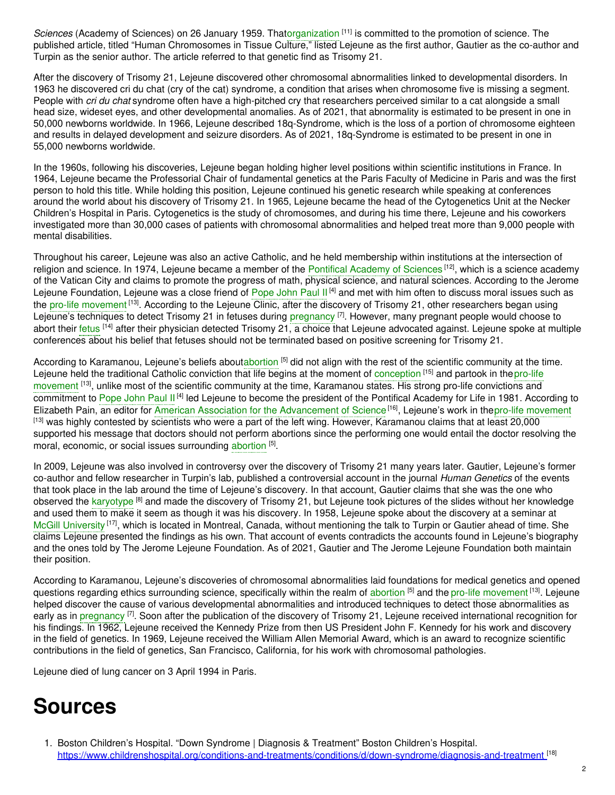Sciences (Academy of Sciences) on 26 January 1959. That[organization](https://embryo.asu.edu/search?text=organization) <sup>[11]</sup> is committed to the promotion of science. The published article, titled "Human Chromosomes in Tissue Culture," listed Lejeune as the first author, Gautier as the co-author and Turpin as the senior author. The article referred to that genetic find as Trisomy 21.

After the discovery of Trisomy 21, Lejeune discovered other chromosomal abnormalities linked to developmental disorders. In 1963 he discovered cri du chat (cry of the cat) syndrome, a condition that arises when chromosome five is missing a segment. People with *cri du chat* syndrome often have a high-pitched cry that researchers perceived similar to a cat alongside a small head size, wideset eyes, and other developmental anomalies. As of 2021, that abnormality is estimated to be present in one in 50,000 newborns worldwide. In 1966, Lejeune described 18q-Syndrome, which is the loss of a portion of chromosome eighteen and results in delayed development and seizure disorders. As of 2021, 18q-Syndrome is estimated to be present in one in 55,000 newborns worldwide.

In the 1960s, following his discoveries, Lejeune began holding higher level positions within scientific institutions in France. In 1964, Lejeune became the Professorial Chair of fundamental genetics at the Paris Faculty of Medicine in Paris and was the first person to hold this title. While holding this position, Lejeune continued his genetic research while speaking at conferences around the world about his discovery of Trisomy 21. In 1965, Lejeune became the head of the Cytogenetics Unit at the Necker Children's Hospital in Paris. Cytogenetics is the study of chromosomes, and during his time there, Lejeune and his coworkers investigated more than 30,000 cases of patients with chromosomal abnormalities and helped treat more than 9,000 people with mental disabilities.

Throughout his career, Lejeune was also an active Catholic, and he held membership within institutions at the intersection of religion and science. In 1974, Lejeune became a member of the Pontifical [Academy](https://embryo.asu.edu/search?text=Pontifical%20Academy%20of%20Sciences) of Sciences <sup>[12]</sup>, which is a science academy of the Vatican City and claims to promote the progress of math, physical science, and natural sciences. According to the Jerome Lejeune Foundation, Lejeune was a close friend of [Pope](https://embryo.asu.edu/search?text=Pope%20John%20Paul%20II) John Paul II<sup>[4]</sup> and met with him often to discuss moral issues such as the pro-life [movement](https://embryo.asu.edu/search?text=pro-life%20movement) <sup>[13]</sup>. According to the Lejeune Clinic, after the discovery of Trisomy 21, other researchers began using Lejeune's techniques to detect Trisomy 21 in fetuses during [pregnancy](https://embryo.asu.edu/search?text=pregnancy) <sup>[7]</sup>. However, many pregnant people would choose to abort their [fetus](https://embryo.asu.edu/search?text=fetus) <sup>[14]</sup> after their physician detected Trisomy 21, a choice that Lejeune advocated against. Lejeune spoke at multiple conferences about his belief that fetuses should not be terminated based on positive screening for Trisomy 21.

According to Karamanou, Lejeune's beliefs abou[tabortion](https://embryo.asu.edu/search?text=abortion) <sup>[5]</sup> did not align with the rest of the scientific community at the time. Lejeune held the traditional Catholic conviction that life begins at the moment of [conception](https://embryo.asu.edu/search?text=conception) <sup>[15]</sup> and partook in the pro-life movement [13], unlike most of the scientific community at the time, [Karamanou](https://embryo.asu.edu/search?text=pro-life%20movement) states. His strong pro-life convictions and commitment to [Pope](https://embryo.asu.edu/search?text=Pope%20John%20Paul%20II) John Paul II<sup>[4]</sup> led Lejeune to become the president of the Pontifical Academy for Life in 1981. According to Elizabeth Pain, an editor for American Association for the [Advancement](https://embryo.asu.edu/search?text=American%20Association%20for%20the%20Advancement%20of%20Science) of Science<sup>[16]</sup>, Lejeune's work in thepro-life [movement](https://embryo.asu.edu/search?text=pro-life%20movement) [13] was highly contested by scientists who were a part of the left wing. However, Karamanou claims that at least 20,000 supported his message that doctors should not perform abortions since the performing one would entail the doctor resolving the moral, economic, or social issues surrounding [abortion](https://embryo.asu.edu/search?text=abortion) [5].

In 2009, Lejeune was also involved in controversy over the discovery of Trisomy 21 many years later. Gautier, Lejeune's former co-author and fellow researcher in Turpin's lab, published a controversial account in the journal *Human Genetics* of the events that took place in the lab around the time of Lejeune's discovery. In that account, Gautier claims that she was the one who observed the [karyotype](https://embryo.asu.edu/search?text=karyotype) <sup>[8]</sup> and made the discovery of Trisomy 21, but Lejeune took pictures of the slides without her knowledge and used them to make it seem as though it was his discovery. In 1958, Lejeune spoke about the discovery at a seminar at McGill [University](https://embryo.asu.edu/search?text=McGill%20University) <sup>[17]</sup>, which is located in Montreal, Canada, without mentioning the talk to Turpin or Gautier ahead of time. She claims Lejeune presented the findings as his own. That account of events contradicts the accounts found in Lejeune's biography and the ones told by The Jerome Lejeune Foundation. As of 2021, Gautier and The Jerome Lejeune Foundation both maintain their position.

According to Karamanou, Lejeune's discoveries of chromosomal abnormalities laid foundations for medical genetics and opened questions regarding ethics surrounding science, specifically within the realm of [abortion](https://embryo.asu.edu/search?text=abortion) [5] and the pro-life [movement](https://embryo.asu.edu/search?text=pro-life%20movement) [13]. Lejeune helped discover the cause of various developmental abnormalities and introduced techniques to detect those abnormalities as early as in [pregnancy](https://embryo.asu.edu/search?text=pregnancy) <sup>[7]</sup>. Soon after the publication of the discovery of Trisomy 21, Lejeune received international recognition for his findings. In 1962, Lejeune received the Kennedy Prize from then US President John F. Kennedy for his work and discovery in the field of genetics. In 1969, Lejeune received the William Allen Memorial Award, which is an award to recognize scientific contributions in the field of genetics, San Francisco, California, for his work with chromosomal pathologies.

Lejeune died of lung cancer on 3 April 1994 in Paris.

## **Sources**

<sup>1.</sup> Boston Children's Hospital. "Down Syndrome | Diagnosis & Treatment" Boston Children's Hospital. <https://www.childrenshospital.org/conditions-and-treatments/conditions/d/down-syndrome/diagnosis-and-treatment> [18]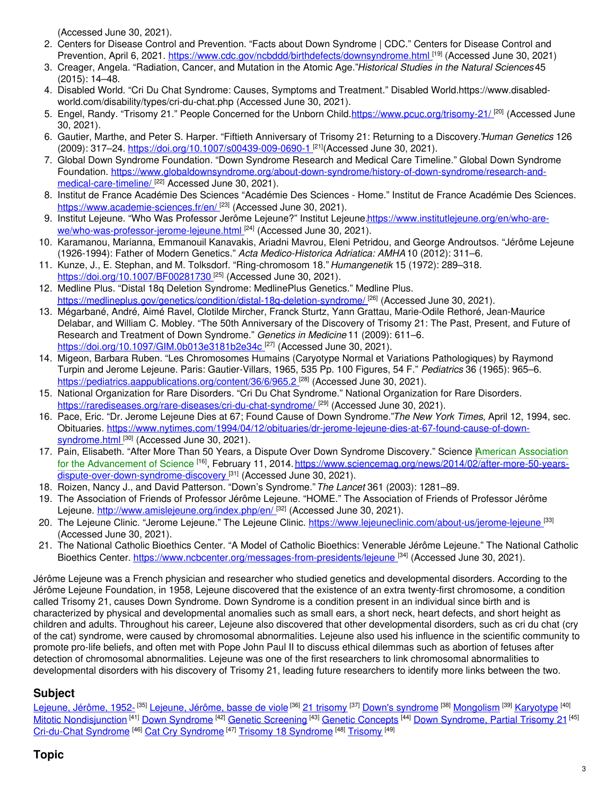(Accessed June 30, 2021).

- 2. Centers for Disease Control and Prevention. "Facts about Down Syndrome | CDC." Centers for Disease Control and Prevention, April 6, 2021. <https://www.cdc.gov/ncbddd/birthdefects/downsyndrome.html> <sup>[19]</sup> (Accessed June 30, 2021)
- 3. Creager, Angela. "Radiation, Cancer, and Mutation in the Atomic Age."*Historical Studies in the Natural Sciences*45 (2015): 14–48.
- 4. Disabled World. "Cri Du Chat Syndrome: Causes, Symptoms and Treatment." Disabled World.https://www.disabledworld.com/disability/types/cri-du-chat.php (Accessed June 30, 2021).
- 5. Engel, Randy. "Trisomy 21." People Concerned for the Unborn Child.<https://www.pcuc.org/trisomy-21/> [20] (Accessed June 30, 2021).
- 6. Gautier, Marthe, and Peter S. Harper. "Fiftieth Anniversary of Trisomy 21: Returning to a Discovery."*Human Genetics* 126 (2009): 317–24. [https://doi.org/10.1007/s00439-009-0690-1](https://doi.org/10.1007/s00439-009-0690-1%20).<sup>[21]</sup>(Accessed June 30, 2021).
- 7. Global Down Syndrome Foundation. "Down Syndrome Research and Medical Care Timeline." Global Down Syndrome Foundation. [https://www.globaldownsyndrome.org/about-down-syndrome/history-of-down-syndrome/research-and](https://www.globaldownsyndrome.org/about-down-syndrome/history-of-down-syndrome/research-and-medical-care-timeline/)medical-care-timeline/[22] Accessed June 30, 2021).
- 8. Institut de France Académie Des Sciences "Académie Des Sciences Home." Institut de France Académie Des Sciences. <https://www.academie-sciences.fr/en/> [<sup>23]</sup> (Accessed June 30, 2021).
- 9. Institut Lejeune. "Who Was Professor Jerôme Lejeune?" Institut [Lejeune.https://www.institutlejeune.org/en/who-are](https://www.institutlejeune.org/en/who-are-we/who-was-professor-jerome-lejeune.html)we/who-was-professor-jerome-lejeune.html <sup>[24]</sup> (Accessed June 30, 2021).
- 10. Karamanou, Marianna, Emmanouil Kanavakis, Ariadni Mavrou, Eleni Petridou, and George Androutsos. "Jérôme Lejeune (1926-1994): Father of Modern Genetics." *Acta Medico-Historica Adriatica: AMHA* 10 (2012): 311–6.
- 11. Kunze, J., E. Stephan, and M. Tolksdorf. "Ring-chromosom 18." *Humangenetik* 15 (1972): 289–318. <https://doi.org/10.1007/BF00281730><sup>[25]</sup> (Accessed June 30, 2021).
- 12. Medline Plus. "Distal 18q Deletion Syndrome: MedlinePlus Genetics." Medline Plus. <https://medlineplus.gov/genetics/condition/distal-18q-deletion-syndrome/> <sup>[26]</sup> (Accessed June 30, 2021).
- 13. Mégarbané, André, Aimé Ravel, Clotilde Mircher, Franck Sturtz, Yann Grattau, Marie-Odile Rethoré, Jean-Maurice Delabar, and William C. Mobley. "The 50th Anniversary of the Discovery of Trisomy 21: The Past, Present, and Future of Research and Treatment of Down Syndrome." *Genetics in Medicine* 11 (2009): 611–6. <https://doi.org/10.1097/GIM.0b013e3181b2e34c> [27] (Accessed June 30, 2021).
- 14. Migeon, Barbara Ruben. "Les Chromosomes Humains (Caryotype Normal et Variations Pathologiques) by Raymond Turpin and Jerome Lejeune. Paris: Gautier-Villars, 1965, 535 Pp. 100 Figures, 54 F." *Pediatrics* 36 (1965): 965–6. <https://pediatrics.aappublications.org/content/36/6/965.2><sup>[28]</sup> (Accessed June 30, 2021).
- 15. National Organization for Rare Disorders. "Cri Du Chat Syndrome." National Organization for Rare Disorders. <https://rarediseases.org/rare-diseases/cri-du-chat-syndrome/> <sup>[29]</sup> (Accessed June 30, 2021).
- 16. Pace, Eric. "Dr. Jerome Lejeune Dies at 67; Found Cause of Down Syndrome."*The New York Times*, April 12, 1994, sec. Obituaries. [https://www.nytimes.com/1994/04/12/obituaries/dr-jerome-lejeune-dies-at-67-found-cause-of-down](https://www.nytimes.com/1994/04/12/obituaries/dr-jerome-lejeune-dies-at-67-found-cause-of-down-syndrome.html)syndrome.html [30] (Accessed June 30, 2021).
- 17. Pain, Elisabeth. "After More Than 50 Years, a Dispute Over Down Syndrome Discovery." Science American Association for the Advancement of Science <sup>[16]</sup>, February 11, 2014. https://www.sciencemag.org/news/2014/02/after-more-50-yearsdispute-over-down-syndrome-discovery <sup>[31]</sup> (Accessed June 30, 2021).
- 18. Roizen, Nancy J., and David Patterson. "Down's Syndrome."*The Lancet* 361 (2003): 1281–89.
- 19. The Association of Friends of Professor Jérôme Lejeune. "HOME." The Association of Friends of Professor Jérôme Lejeune. <http://www.amislejeune.org/index.php/en/> <sup>[32]</sup> (Accessed June 30, 2021).
- 20. The Lejeune Clinic. "Jerome Lejeune." The Lejeune Clinic. <u><https://www.lejeuneclinic.com/about-us/jerome-lejeune> <sup>[33]</sup></u> (Accessed June 30, 2021).
- 21. The National Catholic Bioethics Center. "A Model of Catholic Bioethics: Venerable Jérôme Lejeune." The National Catholic Bioethics Center. <https://www.ncbcenter.org/messages-from-presidents/lejeune> <sup>[34]</sup> (Accessed June 30, 2021).

Jérôme Lejeune was a French physician and researcher who studied genetics and developmental disorders. According to the Jérôme Lejeune Foundation, in 1958, Lejeune discovered that the existence of an extra twenty-first chromosome, a condition called Trisomy 21, causes Down Syndrome. Down Syndrome is a condition present in an individual since birth and is characterized by physical and developmental anomalies such as small ears, a short neck, heart defects, and short height as children and adults. Throughout his career, Lejeune also discovered that other developmental disorders, such as cri du chat (cry of the cat) syndrome, were caused by chromosomal abnormalities. Lejeune also used his influence in the scientific community to promote pro-life beliefs, and often met with Pope John Paul II to discuss ethical dilemmas such as abortion of fetuses after detection of chromosomal abnormalities. Lejeune was one of the first researchers to link chromosomal abnormalities to developmental disorders with his discovery of Trisomy 21, leading future researchers to identify more links between the two.

## **Subject**

[Lejeune,](https://embryo.asu.edu/library-congress-subject-headings/lejeune-jerome-basse-de-viole) Jérôme, 1952- <sup>[35]</sup> Lejeune, Jérôme, basse de viole <sup>[36]</sup> 21 [trisomy](https://embryo.asu.edu/library-congress-subject-headings/21-trisomy) <sup>[37]</sup> Down's [syndrome](https://embryo.asu.edu/library-congress-subject-headings/downs-syndrome) <sup>[38]</sup> [Mongolism](https://embryo.asu.edu/library-congress-subject-headings/mongolism) <sup>[39]</sup> [Karyotype](https://embryo.asu.edu/medical-subject-headings/karyotype) <sup>[40]</sup> Mitotic [Nondisjunction](https://embryo.asu.edu/medical-subject-headings/mitotic-nondisjunction) <sup>[41]</sup> Down [Syndrome](https://embryo.asu.edu/medical-subject-headings/down-syndrome) <sup>[42]</sup> Genetic [Screening](https://embryo.asu.edu/medical-subject-headings/genetic-screening) <sup>[43]</sup> Genetic [Concepts](https://embryo.asu.edu/medical-subject-headings/genetic-concepts) <sup>[44]</sup> Down [Syndrome,](https://embryo.asu.edu/medical-subject-headings/down-syndrome-partial-trisomy-21) Partial Trisomy 21<sup>[45]</sup> [Cri-du-Chat](https://embryo.asu.edu/medical-subject-headings/cri-du-chat-syndrome) [Syndrome](https://embryo.asu.edu/medical-subject-headings/trisomy-18-syndrome) <sup>[46]</sup> Cat Cry Syndrome <sup>[47]</sup> [Trisomy](https://embryo.asu.edu/medical-subject-headings/trisomy) 18 Syndrome <sup>[48]</sup> Trisomy <sup>[49]</sup>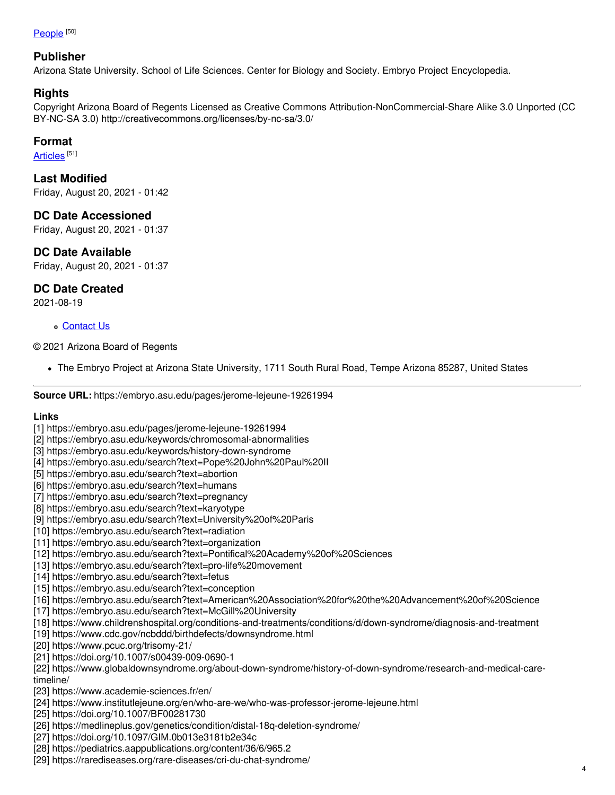#### <u>[People](https://embryo.asu.edu/topics/people)</u>  $^{[50]}$

#### **Publisher**

Arizona State University. School of Life Sciences. Center for Biology and Society. Embryo Project Encyclopedia.

### **Rights**

Copyright Arizona Board of Regents Licensed as Creative Commons Attribution-NonCommercial-Share Alike 3.0 Unported (CC BY-NC-SA 3.0) http://creativecommons.org/licenses/by-nc-sa/3.0/

### **Format**

<u>[Articles](https://embryo.asu.edu/formats/articles)</u> [51]

**Last Modified** Friday, August 20, 2021 - 01:42

### **DC Date Accessioned**

Friday, August 20, 2021 - 01:37

**DC Date Available**

Friday, August 20, 2021 - 01:37

## **DC Date Created**

2021-08-19

#### [Contact](https://embryo.asu.edu/contact) Us

#### © 2021 Arizona Board of Regents

The Embryo Project at Arizona State University, 1711 South Rural Road, Tempe Arizona 85287, United States

**Source URL:** https://embryo.asu.edu/pages/jerome-lejeune-19261994

#### **Links**

- [1] https://embryo.asu.edu/pages/jerome-lejeune-19261994
- [2] https://embryo.asu.edu/keywords/chromosomal-abnormalities
- [3] https://embryo.asu.edu/keywords/history-down-syndrome
- [4] https://embryo.asu.edu/search?text=Pope%20John%20Paul%20II
- [5] https://embryo.asu.edu/search?text=abortion
- [6] https://embryo.asu.edu/search?text=humans
- [7] https://embryo.asu.edu/search?text=pregnancy
- [8] https://embryo.asu.edu/search?text=karyotype
- [9] https://embryo.asu.edu/search?text=University%20of%20Paris
- [10] https://embryo.asu.edu/search?text=radiation
- [11] https://embryo.asu.edu/search?text=organization
- [12] https://embryo.asu.edu/search?text=Pontifical%20Academy%20of%20Sciences
- [13] https://embryo.asu.edu/search?text=pro-life%20movement
- [14] https://embryo.asu.edu/search?text=fetus
- [15] https://embryo.asu.edu/search?text=conception
- [16] https://embryo.asu.edu/search?text=American%20Association%20for%20the%20Advancement%20of%20Science
- [17] https://embryo.asu.edu/search?text=McGill%20University
- [18] https://www.childrenshospital.org/conditions-and-treatments/conditions/d/down-syndrome/diagnosis-and-treatment
- [19] https://www.cdc.gov/ncbddd/birthdefects/downsyndrome.html
- [20] https://www.pcuc.org/trisomy-21/
- [21] https://doi.org/10.1007/s00439-009-0690-1
- [22] https://www.globaldownsyndrome.org/about-down-syndrome/history-of-down-syndrome/research-and-medical-caretimeline/
- [23] https://www.academie-sciences.fr/en/
- [24] https://www.institutlejeune.org/en/who-are-we/who-was-professor-jerome-lejeune.html
- [25] https://doi.org/10.1007/BF00281730
- [26] https://medlineplus.gov/genetics/condition/distal-18q-deletion-syndrome/
- [27] https://doi.org/10.1097/GIM.0b013e3181b2e34c
- [28] https://pediatrics.aappublications.org/content/36/6/965.2
- [29] https://rarediseases.org/rare-diseases/cri-du-chat-syndrome/